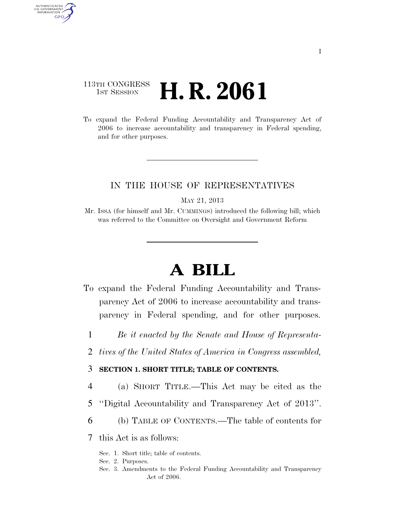## 113TH CONGRESS **1st Session H. R. 2061**

AUTHENTICATED<br>U.S. GOVERNMENT<br>INFORMATION GPO

> To expand the Federal Funding Accountability and Transparency Act of 2006 to increase accountability and transparency in Federal spending, and for other purposes.

### IN THE HOUSE OF REPRESENTATIVES

MAY 21, 2013

Mr. ISSA (for himself and Mr. CUMMINGS) introduced the following bill; which was referred to the Committee on Oversight and Government Reform

# **A BILL**

- To expand the Federal Funding Accountability and Transparency Act of 2006 to increase accountability and transparency in Federal spending, and for other purposes.
	- 1 *Be it enacted by the Senate and House of Representa-*
	- 2 *tives of the United States of America in Congress assembled,*

## 3 **SECTION 1. SHORT TITLE; TABLE OF CONTENTS.**

- 4 (a) SHORT TITLE.—This Act may be cited as the
- 5 ''Digital Accountability and Transparency Act of 2013''.
- 6 (b) TABLE OF CONTENTS.—The table of contents for

7 this Act is as follows:

- Sec. 1. Short title; table of contents.
- Sec. 2. Purposes.
- Sec. 3. Amendments to the Federal Funding Accountability and Transparency Act of 2006.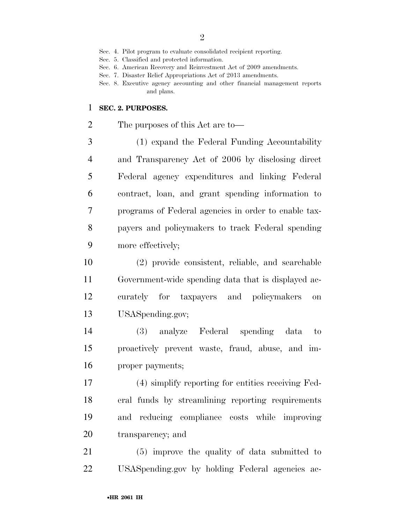- Sec. 5. Classified and protected information.
- Sec. 6. American Recovery and Reinvestment Act of 2009 amendments.
- Sec. 7. Disaster Relief Appropriations Act of 2013 amendments.
- Sec. 8. Executive agency accounting and other financial management reports and plans.

#### **SEC. 2. PURPOSES.**

The purposes of this Act are to—

 (1) expand the Federal Funding Accountability and Transparency Act of 2006 by disclosing direct Federal agency expenditures and linking Federal contract, loan, and grant spending information to programs of Federal agencies in order to enable tax- payers and policymakers to track Federal spending more effectively;

 (2) provide consistent, reliable, and searchable Government-wide spending data that is displayed ac- curately for taxpayers and policymakers on USASpending.gov;

 (3) analyze Federal spending data to proactively prevent waste, fraud, abuse, and im-proper payments;

 (4) simplify reporting for entities receiving Fed- eral funds by streamlining reporting requirements and reducing compliance costs while improving transparency; and

 (5) improve the quality of data submitted to USASpending.gov by holding Federal agencies ac-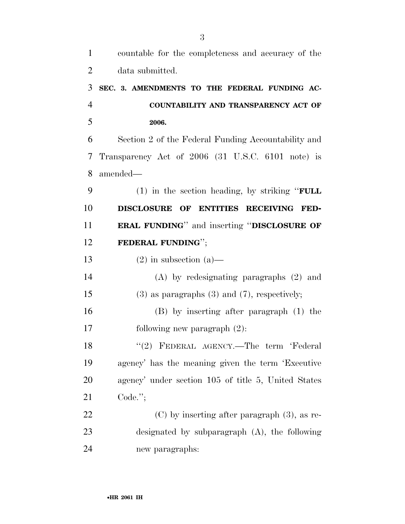| $\mathbf{1}$   | countable for the completeness and accuracy of the      |
|----------------|---------------------------------------------------------|
| $\overline{2}$ | data submitted.                                         |
| 3              | SEC. 3. AMENDMENTS TO THE FEDERAL FUNDING AC-           |
| $\overline{4}$ | COUNTABILITY AND TRANSPARENCY ACT OF                    |
| 5              | 2006.                                                   |
| 6              | Section 2 of the Federal Funding Accountability and     |
| 7              | Transparency Act of 2006 (31 U.S.C. 6101 note) is       |
| 8              | amended—                                                |
| 9              | (1) in the section heading, by striking " $\text{FULL}$ |
| 10             | DISCLOSURE OF ENTITIES RECEIVING FED-                   |
| 11             | <b>ERAL FUNDING"</b> and inserting "DISCLOSURE OF       |
| 12             | FEDERAL FUNDING";                                       |
| 13             | $(2)$ in subsection $(a)$ —                             |
| 14             | $(A)$ by redesignating paragraphs $(2)$ and             |
| 15             | $(3)$ as paragraphs $(3)$ and $(7)$ , respectively;     |
| 16             | (B) by inserting after paragraph (1) the                |
| 17             | following new paragraph $(2)$ :                         |
| 18             | "(2) FEDERAL AGENCY.—The term 'Federal                  |
| 19             | agency' has the meaning given the term 'Executive       |
| 20             | agency' under section 105 of title 5, United States     |
| 21             | $Code.$ ";                                              |
| 22             | $(C)$ by inserting after paragraph $(3)$ , as re-       |
| 23             | designated by subparagraph $(A)$ , the following        |
| 24             | new paragraphs:                                         |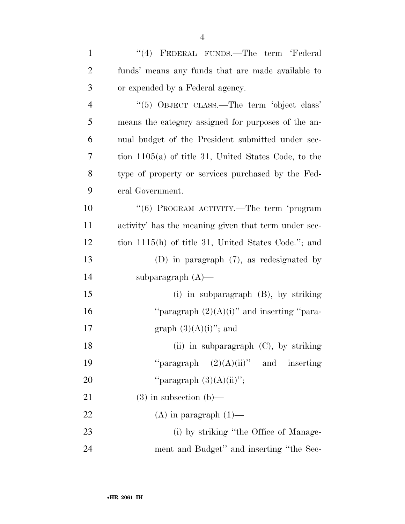| $\mathbf{1}$   | "(4) FEDERAL FUNDS.—The term 'Federal                 |
|----------------|-------------------------------------------------------|
| $\overline{2}$ | funds' means any funds that are made available to     |
| 3              | or expended by a Federal agency.                      |
| $\overline{4}$ | "(5) OBJECT CLASS.—The term 'object class'            |
| 5              | means the category assigned for purposes of the an-   |
| 6              | nual budget of the President submitted under sec-     |
| 7              | tion 1105(a) of title 31, United States Code, to the  |
| 8              | type of property or services purchased by the Fed-    |
| 9              | eral Government.                                      |
| 10             | " $(6)$ PROGRAM ACTIVITY.—The term 'program           |
| 11             | activity' has the meaning given that term under sec-  |
| 12             | tion $1115(h)$ of title 31, United States Code."; and |
| 13             | (D) in paragraph $(7)$ , as redesignated by           |
| 14             | subparagraph $(A)$ —                                  |
| 15             | $(i)$ in subparagraph $(B)$ , by striking             |
| 16             | "paragraph $(2)(A)(i)$ " and inserting "para-         |
| 17             | graph $(3)(A)(i)$ "; and                              |
| 18             | (ii) in subparagraph (C), by striking                 |
| 19             | "paragraph $(2)(A)(ii)$ " and inserting               |
| 20             | "paragraph $(3)(A)(ii)$ ";                            |
| 21             | $(3)$ in subsection $(b)$ —                           |
| 22             | $(A)$ in paragraph $(1)$ —                            |
| 23             | (i) by striking "the Office of Manage-                |
| 24             | ment and Budget" and inserting "the Sec-              |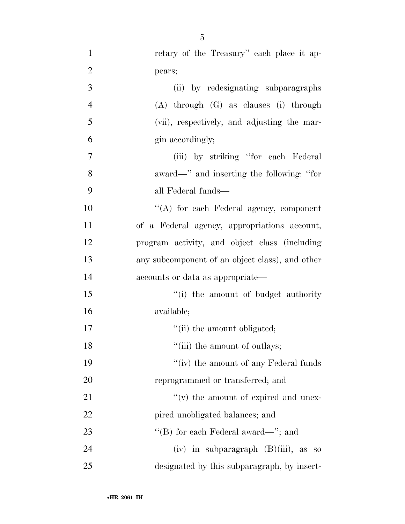| $\mathbf{1}$   | retary of the Treasury" each place it ap-       |
|----------------|-------------------------------------------------|
| $\overline{2}$ | pears;                                          |
| 3              | (ii) by redesignating subparagraphs             |
| $\overline{4}$ | $(A)$ through $(G)$ as clauses $(i)$ through    |
| 5              | (vii), respectively, and adjusting the mar-     |
| 6              | gin accordingly;                                |
| 7              | (iii) by striking "for each Federal"            |
| 8              | award—" and inserting the following: "for       |
| 9              | all Federal funds—                              |
| 10             | "(A) for each Federal agency, component         |
| 11             | of a Federal agency, appropriations account,    |
| 12             | program activity, and object class (including   |
| 13             | any subcomponent of an object class), and other |
| 14             | accounts or data as appropriate—                |
| 15             | "(i) the amount of budget authority"            |
| 16             | available;                                      |
| 17             | "(ii) the amount obligated;                     |
| 18             | "(iii) the amount of outlays;                   |
| 19             | "(iv) the amount of any Federal funds           |
| 20             | reprogrammed or transferred; and                |
| 21             | $f'(v)$ the amount of expired and unex-         |
| 22             | pired unobligated balances; and                 |
| 23             | "(B) for each Federal award—"; and              |
| 24             | (iv) in subparagraph $(B)(iii)$ , as so         |
| 25             | designated by this subparagraph, by insert-     |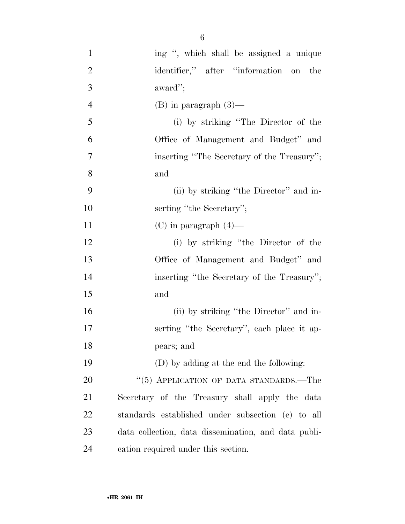| $\mathbf{1}$   | ing ", which shall be assigned a unique              |
|----------------|------------------------------------------------------|
| $\overline{2}$ | identifier," after "information on<br>the            |
| 3              | award";                                              |
| $\overline{4}$ | $(B)$ in paragraph $(3)$ —                           |
| 5              | (i) by striking "The Director of the                 |
| 6              | Office of Management and Budget" and                 |
| 7              | inserting "The Secretary of the Treasury";           |
| 8              | and                                                  |
| 9              | (ii) by striking "the Director" and in-              |
| 10             | serting "the Secretary";                             |
| 11             | $(C)$ in paragraph $(4)$ —                           |
| 12             | (i) by striking "the Director of the                 |
| 13             | Office of Management and Budget" and                 |
| 14             | inserting "the Secretary of the Treasury";           |
| 15             | and                                                  |
| 16             | (ii) by striking "the Director" and in-              |
| 17             | serting "the Secretary", each place it ap-           |
| 18             | pears; and                                           |
| 19             | (D) by adding at the end the following:              |
| 20             | "(5) APPLICATION OF DATA STANDARDS.—The              |
| 21             | Secretary of the Treasury shall apply the data       |
| 22             | standards established under subsection (e) to all    |
| 23             | data collection, data dissemination, and data publi- |
| 24             | cation required under this section.                  |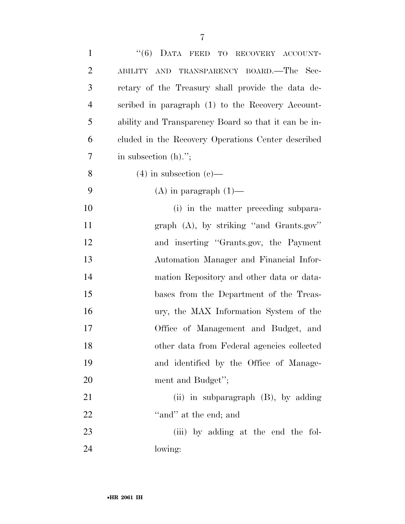| $\mathbf{1}$   | "(6) DATA FEED TO RECOVERY ACCOUNT-                  |
|----------------|------------------------------------------------------|
| $\overline{2}$ | TRANSPARENCY BOARD.—The Sec-<br>ABILITY AND          |
| 3              | retary of the Treasury shall provide the data de-    |
| $\overline{4}$ | scribed in paragraph (1) to the Recovery Account-    |
| 5              | ability and Transparency Board so that it can be in- |
| 6              | cluded in the Recovery Operations Center described   |
| 7              | in subsection $(h)$ .";                              |
| 8              | $(4)$ in subsection $(e)$ —                          |
| 9              | $(A)$ in paragraph $(1)$ —                           |
| 10             | (i) in the matter preceding subpara-                 |
| 11             | graph $(A)$ , by striking "and Grants.gov"           |
| 12             | and inserting "Grants.gov, the Payment               |
| 13             | Automation Manager and Financial Infor-              |
| 14             | mation Repository and other data or data-            |
| 15             | bases from the Department of the Treas-              |
| 16             | ury, the MAX Information System of the               |
| 17             | Office of Management and Budget, and                 |
| 18             | other data from Federal agencies collected           |
| 19             | and identified by the Office of Manage-              |
| 20             | ment and Budget";                                    |
| 21             | (ii) in subparagraph $(B)$ , by adding               |
| 22             | "and" at the end; and                                |
| 23             | (iii) by adding at the end the fol-                  |
| 24             | lowing:                                              |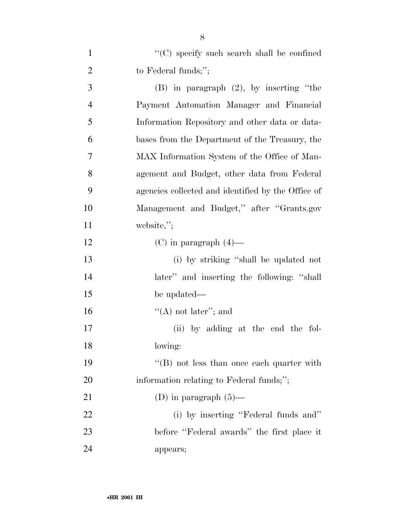| $\mathbf{1}$   | "(C) specify such search shall be confined         |
|----------------|----------------------------------------------------|
| $\overline{2}$ | to Federal funds;";                                |
| 3              | $(B)$ in paragraph $(2)$ , by inserting "the       |
| $\overline{4}$ | Payment Automation Manager and Financial           |
| 5              | Information Repository and other data or data-     |
| 6              | bases from the Department of the Treasury, the     |
| 7              | MAX Information System of the Office of Man-       |
| 8              | agement and Budget, other data from Federal        |
| 9              | agencies collected and identified by the Office of |
| 10             | Management and Budget," after "Grants.gov          |
| 11             | website,";                                         |
| 12             | $(C)$ in paragraph $(4)$ —                         |
| 13             | (i) by striking "shall be updated not              |
| 14             | later" and inserting the following: "shall         |
| 15             | be updated—                                        |
| 16             | "(A) not later"; and                               |
| 17             | (ii) by adding at the end the fol-                 |
| 18             | lowing:                                            |
| 19             | $\lq\lq (B)$ not less than once each quarter with  |
| 20             | information relating to Federal funds;";           |
| 21             | (D) in paragraph $(5)$ —                           |
| 22             | (i) by inserting "Federal funds and"               |
| 23             | before "Federal awards" the first place it         |
| 24             | appears;                                           |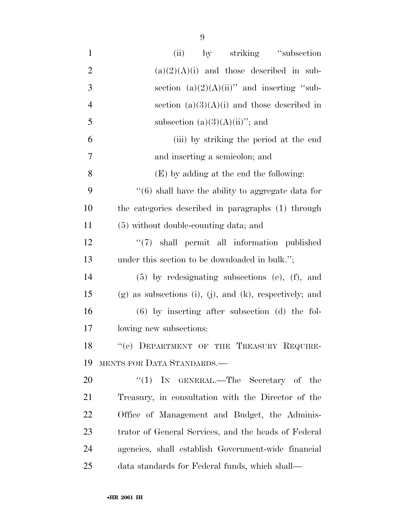| $\mathbf{1}$   | by striking "subsection"<br>(ii)                              |
|----------------|---------------------------------------------------------------|
| $\overline{2}$ | $(a)(2)(A)(i)$ and those described in sub-                    |
| 3              | section $(a)(2)(A)(ii)$ " and inserting "sub-                 |
| $\overline{4}$ | section $(a)(3)(A)(i)$ and those described in                 |
| 5              | subsection $(a)(3)(A)(ii)$ "; and                             |
| 6              | (iii) by striking the period at the end                       |
| 7              | and inserting a semicolon; and                                |
| 8              | (E) by adding at the end the following:                       |
| 9              | $\cdot\cdot$ (6) shall have the ability to aggregate data for |
| 10             | the categories described in paragraphs (1) through            |
| 11             | (5) without double-counting data; and                         |
| 12             | $\lq(7)$ shall permit all information published               |
| 13             | under this section to be downloaded in bulk.";                |
| 14             | $(5)$ by redesignating subsections $(e)$ , $(f)$ , and        |
| 15             | $(g)$ as subsections (i), (j), and (k), respectively; and     |
| 16             | $(6)$ by inserting after subsection $(d)$ the fol-            |
| 17             | lowing new subsections:                                       |
| 18             | "(e) DEPARTMENT OF THE TREASURY REQUIRE-                      |
| 19             | MENTS FOR DATA STANDARDS.                                     |
| 20             | "(1) IN GENERAL.—The Secretary of the                         |
| 21             | Treasury, in consultation with the Director of the            |
| <u>22</u>      | Office of Management and Budget, the Adminis-                 |
| 23             | trator of General Services, and the heads of Federal          |
| 24             | agencies, shall establish Government-wide financial           |
| $25\,$         | data standards for Federal funds, which shall—                |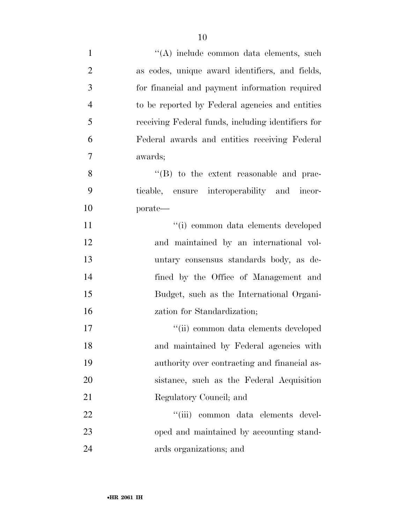| $\mathbf{1}$   | "(A) include common data elements, such            |
|----------------|----------------------------------------------------|
| $\overline{2}$ | as codes, unique award identifiers, and fields,    |
| 3              | for financial and payment information required     |
| $\overline{4}$ | to be reported by Federal agencies and entities    |
| 5              | receiving Federal funds, including identifiers for |
| 6              | Federal awards and entities receiving Federal      |
| $\tau$         | awards;                                            |
| 8              | "(B) to the extent reasonable and prac-            |
| 9              | ticable, ensure interoperability and incor-        |
| 10             | porate—                                            |
| 11             | "(i) common data elements developed                |
| 12             | and maintained by an international vol-            |
| 13             | untary consensus standards body, as de-            |
| 14             | fined by the Office of Management and              |
| 15             | Budget, such as the International Organi-          |
| 16             | zation for Standardization;                        |
| 17             | "(ii) common data elements developed               |
| 18             | and maintained by Federal agencies with            |
| 19             | authority over contracting and financial as-       |
| <b>20</b>      | sistance, such as the Federal Acquisition          |
| 21             | Regulatory Council; and                            |
| 22             | "(iii) common data elements devel-                 |
| 23             | oped and maintained by accounting stand-           |
| 24             | ards organizations; and                            |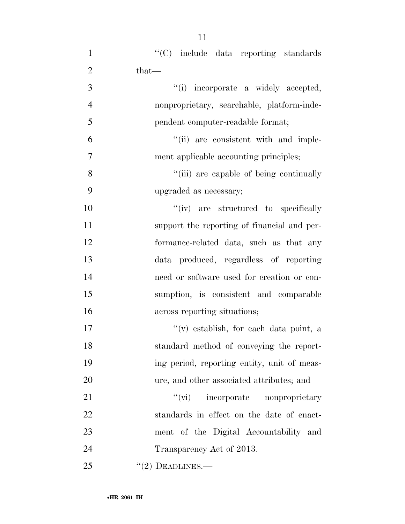| $\mathbf{1}$   | "(C) include data reporting standards       |
|----------------|---------------------------------------------|
| $\overline{2}$ | $that$ —                                    |
| 3              | "(i) incorporate a widely accepted,         |
| $\overline{4}$ | nonproprietary, searchable, platform-inde-  |
| 5              | pendent computer-readable format;           |
| 6              | "(ii) are consistent with and imple-        |
| 7              | ment applicable accounting principles;      |
| 8              | "(iii) are capable of being continually     |
| 9              | upgraded as necessary;                      |
| 10             | "(iv) are structured to specifically        |
| 11             | support the reporting of financial and per- |
| 12             | formance-related data, such as that any     |
| 13             | data produced, regardless of reporting      |
| 14             | need or software used for creation or con-  |
| 15             | sumption, is consistent and comparable      |
| 16             | across reporting situations;                |
| 17             | "(v) establish, for each data point, a      |
| 18             | standard method of conveying the report-    |
| 19             | ing period, reporting entity, unit of meas- |
| 20             | ure, and other associated attributes; and   |
| 21             | "(vi) incorporate nonproprietary            |
| 22             | standards in effect on the date of enact-   |
| 23             | ment of the Digital Accountability and      |
| 24             | Transparency Act of 2013.                   |
| 25             | $"(2)$ DEADLINES.—                          |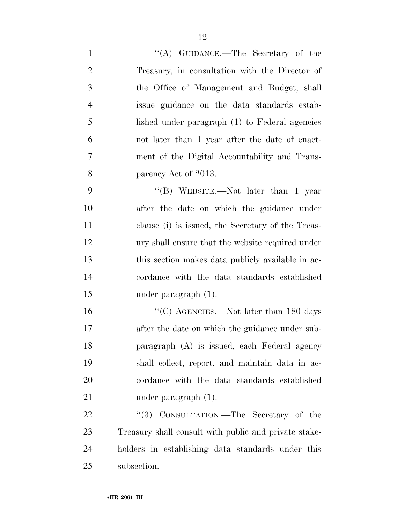| $\mathbf{1}$   | "(A) GUIDANCE.—The Secretary of the                   |
|----------------|-------------------------------------------------------|
| $\overline{2}$ | Treasury, in consultation with the Director of        |
| $\mathfrak{Z}$ | the Office of Management and Budget, shall            |
| $\overline{4}$ | issue guidance on the data standards estab-           |
| 5              | lished under paragraph (1) to Federal agencies        |
| 6              | not later than 1 year after the date of enact-        |
| 7              | ment of the Digital Accountability and Trans-         |
| 8              | parency Act of 2013.                                  |
| 9              | "(B) WEBSITE.—Not later than 1 year                   |
| 10             | after the date on which the guidance under            |
| 11             | clause (i) is issued, the Secretary of the Treas-     |
| 12             | ury shall ensure that the website required under      |
| 13             | this section makes data publicly available in ac-     |
| 14             | cordance with the data standards established          |
| 15             | under paragraph $(1)$ .                               |
| 16             | "(C) AGENCIES.—Not later than $180$ days              |
| 17             | after the date on which the guidance under sub-       |
| 18             | paragraph (A) is issued, each Federal agency          |
| 19             | shall collect, report, and maintain data in ac-       |
| 20             | cordance with the data standards established          |
| 21             | under paragraph $(1)$ .                               |
| 22             | CONSULTATION.—The Secretary of the<br>(3)             |
| 23             | Treasury shall consult with public and private stake- |
| 24             | holders in establishing data standards under this     |
| 25             | subsection.                                           |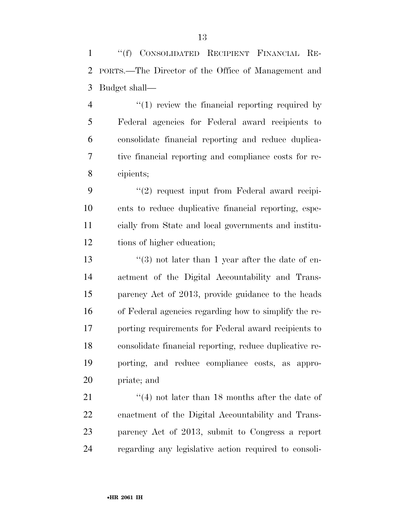''(f) CONSOLIDATED RECIPIENT FINANCIAL RE- PORTS.—The Director of the Office of Management and Budget shall—

4 "(1) review the financial reporting required by Federal agencies for Federal award recipients to consolidate financial reporting and reduce duplica- tive financial reporting and compliance costs for re-cipients;

9 "(2) request input from Federal award recipi- ents to reduce duplicative financial reporting, espe- cially from State and local governments and institu-tions of higher education;

 $\frac{13}{2}$   $\frac{13}{2}$  not later than 1 year after the date of en- actment of the Digital Accountability and Trans- parency Act of 2013, provide guidance to the heads of Federal agencies regarding how to simplify the re- porting requirements for Federal award recipients to consolidate financial reporting, reduce duplicative re- porting, and reduce compliance costs, as appro-priate; and

21 ''(4) not later than 18 months after the date of enactment of the Digital Accountability and Trans- parency Act of 2013, submit to Congress a report regarding any legislative action required to consoli-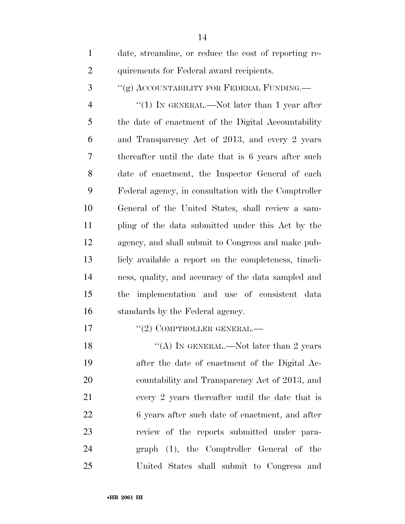| $\mathbf{1}$   | date, streamline, or reduce the cost of reporting re- |
|----------------|-------------------------------------------------------|
| $\overline{2}$ | quirements for Federal award recipients.              |
| 3              | "(g) ACCOUNTABILITY FOR FEDERAL FUNDING.              |
| $\overline{4}$ | "(1) IN GENERAL.—Not later than 1 year after          |
| 5              | the date of enactment of the Digital Accountability   |
| 6              | and Transparency Act of 2013, and every 2 years       |
| 7              | thereafter until the date that is 6 years after such  |
| 8              | date of enactment, the Inspector General of each      |
| 9              | Federal agency, in consultation with the Comptroller  |
| 10             | General of the United States, shall review a sam-     |
| 11             | pling of the data submitted under this Act by the     |
| 12             | agency, and shall submit to Congress and make pub-    |
| 13             | licly available a report on the completeness, timeli- |
| 14             | ness, quality, and accuracy of the data sampled and   |
| 15             | implementation and use of consistent data<br>the      |
| 16             | standards by the Federal agency.                      |
| 17             | $``(2)$ COMPTROLLER GENERAL.—                         |
| 18             | "(A) IN GENERAL.—Not later than 2 years               |
| 19             | after the date of enactment of the Digital Ac-        |
| 20             | countability and Transparency Act of 2013, and        |

every 2 years thereafter until the date that is

6 years after such date of enactment, and after

review of the reports submitted under para-

graph (1), the Comptroller General of the

United States shall submit to Congress and

•**HR 2061 IH**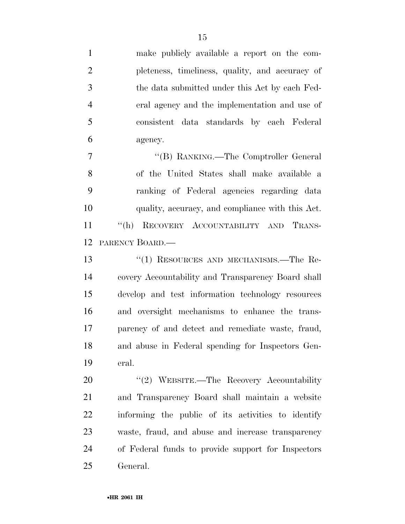make publicly available a report on the com- pleteness, timeliness, quality, and accuracy of the data submitted under this Act by each Fed- eral agency and the implementation and use of consistent data standards by each Federal agency.

7 "'(B) RANKING.—The Comptroller General of the United States shall make available a ranking of Federal agencies regarding data quality, accuracy, and compliance with this Act. ''(h) RECOVERY ACCOUNTABILITY AND TRANS-PARENCY BOARD.—

 ''(1) RESOURCES AND MECHANISMS.—The Re- covery Accountability and Transparency Board shall develop and test information technology resources and oversight mechanisms to enhance the trans- parency of and detect and remediate waste, fraud, and abuse in Federal spending for Inspectors Gen-eral.

20 "(2) WEBSITE.—The Recovery Accountability and Transparency Board shall maintain a website informing the public of its activities to identify waste, fraud, and abuse and increase transparency of Federal funds to provide support for Inspectors General.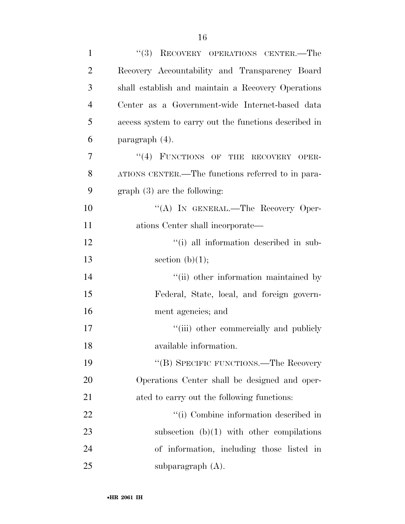| $\mathbf{1}$   | "(3) RECOVERY OPERATIONS CENTER.—The                  |
|----------------|-------------------------------------------------------|
| $\overline{2}$ | Recovery Accountability and Transparency Board        |
| 3              | shall establish and maintain a Recovery Operations    |
| $\overline{4}$ | Center as a Government-wide Internet-based data       |
| 5              | access system to carry out the functions described in |
| 6              | paragraph (4).                                        |
| $\overline{7}$ | "(4) FUNCTIONS OF THE RECOVERY OPER-                  |
| 8              | ATIONS CENTER.—The functions referred to in para-     |
| 9              | $graph(3)$ are the following:                         |
| 10             | "(A) IN GENERAL.—The Recovery Oper-                   |
| 11             | ations Center shall incorporate—                      |
| 12             | "(i) all information described in sub-                |
| 13             | section $(b)(1);$                                     |
| 14             | "(ii) other information maintained by                 |
| 15             | Federal, State, local, and foreign govern-            |
| 16             | ment agencies; and                                    |
| 17             | "(iii) other commercially and publicly                |
| 18             | available information.                                |
| 19             | "(B) SPECIFIC FUNCTIONS.—The Recovery                 |
| 20             | Operations Center shall be designed and oper-         |
| 21             | ated to carry out the following functions:            |
| 22             | "(i) Combine information described in                 |
| 23             | subsection $(b)(1)$ with other compilations           |
| 24             | of information, including those listed in             |
| 25             | subparagraph $(A)$ .                                  |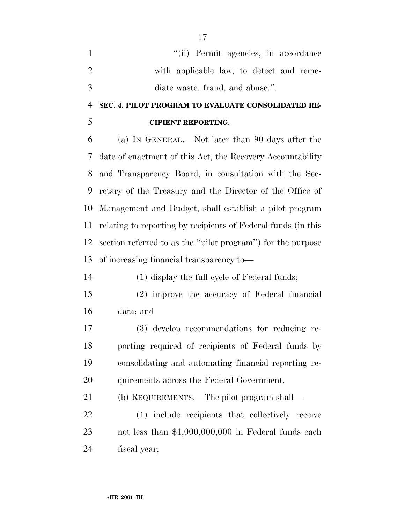''(ii) Permit agencies, in accordance with applicable law, to detect and reme-diate waste, fraud, and abuse.''.

# **SEC. 4. PILOT PROGRAM TO EVALUATE CONSOLIDATED RE-CIPIENT REPORTING.**

 (a) IN GENERAL.—Not later than 90 days after the date of enactment of this Act, the Recovery Accountability and Transparency Board, in consultation with the Sec- retary of the Treasury and the Director of the Office of Management and Budget, shall establish a pilot program relating to reporting by recipients of Federal funds (in this section referred to as the ''pilot program'') for the purpose of increasing financial transparency to—

(1) display the full cycle of Federal funds;

- (2) improve the accuracy of Federal financial data; and
- (3) develop recommendations for reducing re- porting required of recipients of Federal funds by consolidating and automating financial reporting re-20 quirements across the Federal Government.

(b) REQUIREMENTS.—The pilot program shall—

 (1) include recipients that collectively receive not less than \$1,000,000,000 in Federal funds each fiscal year;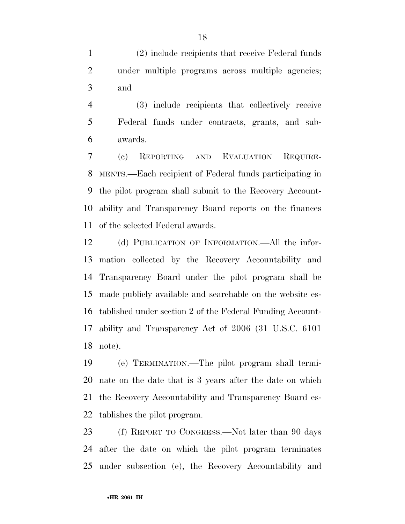(2) include recipients that receive Federal funds under multiple programs across multiple agencies; and

 (3) include recipients that collectively receive Federal funds under contracts, grants, and sub-awards.

 (c) REPORTING AND EVALUATION REQUIRE- MENTS.—Each recipient of Federal funds participating in the pilot program shall submit to the Recovery Account- ability and Transparency Board reports on the finances of the selected Federal awards.

 (d) PUBLICATION OF INFORMATION.—All the infor- mation collected by the Recovery Accountability and Transparency Board under the pilot program shall be made publicly available and searchable on the website es- tablished under section 2 of the Federal Funding Account- ability and Transparency Act of 2006 (31 U.S.C. 6101 note).

 (e) TERMINATION.—The pilot program shall termi- nate on the date that is 3 years after the date on which the Recovery Accountability and Transparency Board es-tablishes the pilot program.

 (f) REPORT TO CONGRESS.—Not later than 90 days after the date on which the pilot program terminates under subsection (e), the Recovery Accountability and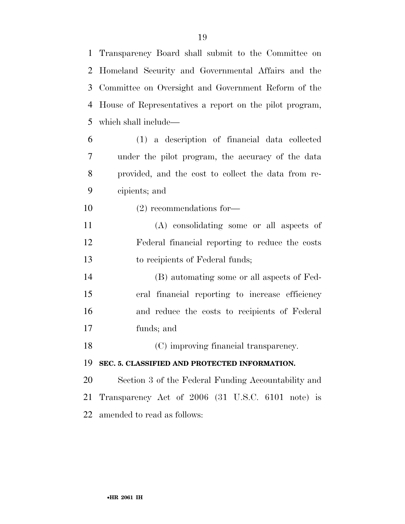Transparency Board shall submit to the Committee on Homeland Security and Governmental Affairs and the Committee on Oversight and Government Reform of the House of Representatives a report on the pilot program, which shall include— (1) a description of financial data collected under the pilot program, the accuracy of the data provided, and the cost to collect the data from re-

- cipients; and
- (2) recommendations for—
- (A) consolidating some or all aspects of Federal financial reporting to reduce the costs to recipients of Federal funds;
- (B) automating some or all aspects of Fed- eral financial reporting to increase efficiency and reduce the costs to recipients of Federal funds; and
- (C) improving financial transparency.

## **SEC. 5. CLASSIFIED AND PROTECTED INFORMATION.**

 Section 3 of the Federal Funding Accountability and Transparency Act of 2006 (31 U.S.C. 6101 note) is amended to read as follows: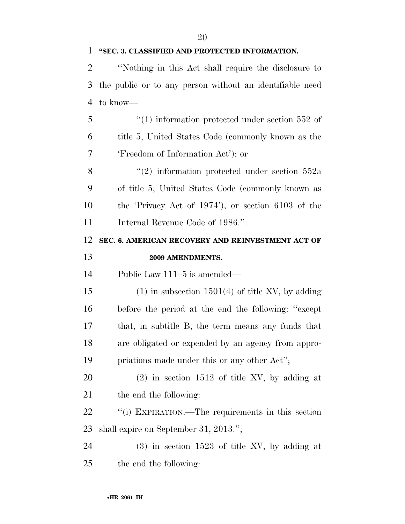#### **''SEC. 3. CLASSIFIED AND PROTECTED INFORMATION.**

 ''Nothing in this Act shall require the disclosure to the public or to any person without an identifiable need to know—

5  $\frac{1}{1}$  information protected under section 552 of title 5, United States Code (commonly known as the 'Freedom of Information Act'); or

8 "(2) information protected under section 552a of title 5, United States Code (commonly known as the 'Privacy Act of 1974'), or section 6103 of the 11 Internal Revenue Code of 1986.".

# **SEC. 6. AMERICAN RECOVERY AND REINVESTMENT ACT OF 2009 AMENDMENTS.**

Public Law 111–5 is amended—

15 (1) in subsection 1501(4) of title XV, by adding before the period at the end the following: ''except that, in subtitle B, the term means any funds that are obligated or expended by an agency from appro-priations made under this or any other Act'';

 (2) in section 1512 of title XV, by adding at 21 the end the following:

22 "(i) EXPIRATION.—The requirements in this section shall expire on September 31, 2013.'';

 (3) in section 1523 of title XV, by adding at the end the following: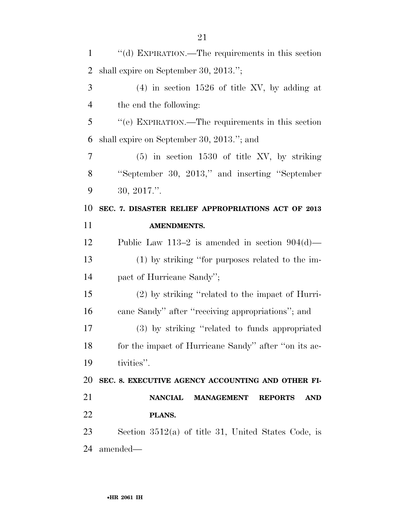| $\mathbf{1}$   | "(d) EXPIRATION.—The requirements in this section                   |
|----------------|---------------------------------------------------------------------|
| $\overline{2}$ | shall expire on September 30, 2013.";                               |
| 3              | $(4)$ in section 1526 of title XV, by adding at                     |
| $\overline{4}$ | the end the following:                                              |
| 5              | "(e) EXPIRATION.—The requirements in this section                   |
| 6              | shall expire on September 30, 2013."; and                           |
| 7              | $(5)$ in section 1530 of title XV, by striking                      |
| 8              | "September 30, 2013," and inserting "September"                     |
| 9              | 30, 2017."                                                          |
| 10             | SEC. 7. DISASTER RELIEF APPROPRIATIONS ACT OF 2013                  |
| 11             | <b>AMENDMENTS.</b>                                                  |
| 12             | Public Law 113–2 is amended in section $904(d)$ —                   |
| 13             | (1) by striking "for purposes related to the im-                    |
| 14             | pact of Hurricane Sandy";                                           |
| 15             | (2) by striking "related to the impact of Hurri-                    |
| 16             | cane Sandy" after "receiving appropriations"; and                   |
| 17             | (3) by striking "related to funds appropriated                      |
| 18             | for the impact of Hurricane Sandy" after "on its ac-                |
| 19             | tivities".                                                          |
| 20             | SEC. 8. EXECUTIVE AGENCY ACCOUNTING AND OTHER FI-                   |
| 21             | <b>NANCIAL</b><br><b>MANAGEMENT</b><br><b>REPORTS</b><br><b>AND</b> |
| 22             | PLANS.                                                              |
| 23             | Section $3512(a)$ of title 31, United States Code, is               |
| 24             | amended—                                                            |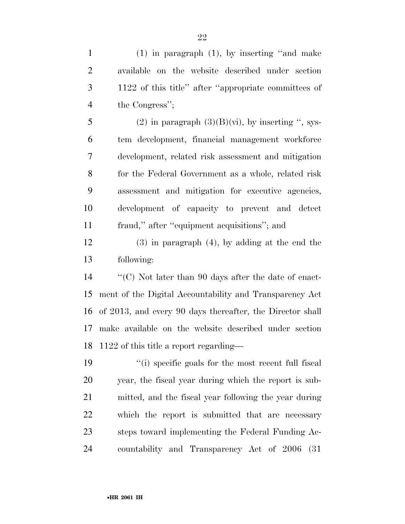(1) in paragraph (1), by inserting ''and make available on the website described under section 1122 of this title'' after ''appropriate committees of the Congress'';

5 (2) in paragraph  $(3)(B)(vi)$ , by inserting ", sys- tem development, financial management workforce development, related risk assessment and mitigation for the Federal Government as a whole, related risk assessment and mitigation for executive agencies, development of capacity to prevent and detect fraud,'' after ''equipment acquisitions''; and

 (3) in paragraph (4), by adding at the end the following:

 ''(C) Not later than 90 days after the date of enact- ment of the Digital Accountability and Transparency Act of 2013, and every 90 days thereafter, the Director shall make available on the website described under section 1122 of this title a report regarding—

 ''(i) specific goals for the most recent full fiscal year, the fiscal year during which the report is sub- mitted, and the fiscal year following the year during which the report is submitted that are necessary steps toward implementing the Federal Funding Ac-countability and Transparency Act of 2006 (31